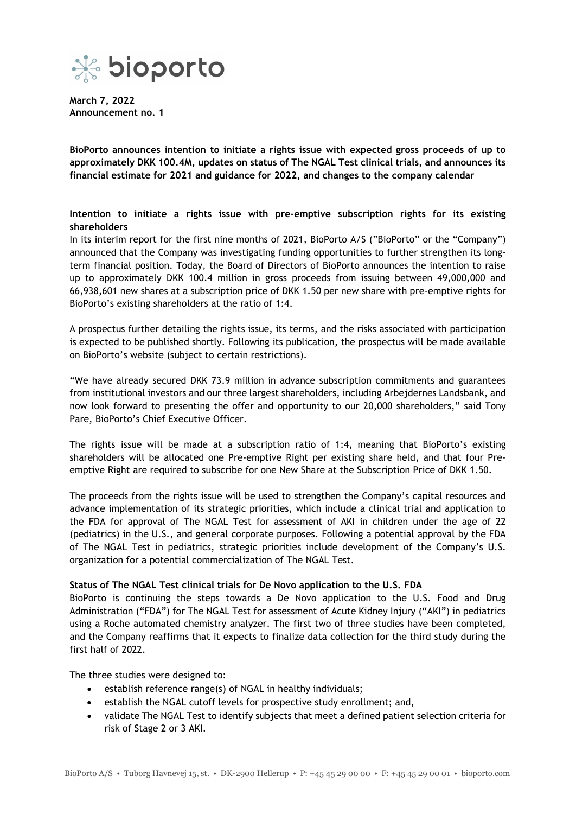

**March 7, 2022 Announcement no. 1**

**BioPorto announces intention to initiate a rights issue with expected gross proceeds of up to approximately DKK 100.4M, updates on status of The NGAL Test clinical trials, and announces its financial estimate for 2021 and guidance for 2022, and changes to the company calendar**

**Intention to initiate a rights issue with pre-emptive subscription rights for its existing shareholders**

In its interim report for the first nine months of 2021, BioPorto A/S ("BioPorto" or the "Company") announced that the Company was investigating funding opportunities to further strengthen its longterm financial position. Today, the Board of Directors of BioPorto announces the intention to raise up to approximately DKK 100.4 million in gross proceeds from issuing between 49,000,000 and 66,938,601 new shares at a subscription price of DKK 1.50 per new share with pre-emptive rights for BioPorto's existing shareholders at the ratio of 1:4.

A prospectus further detailing the rights issue, its terms, and the risks associated with participation is expected to be published shortly. Following its publication, the prospectus will be made available on BioPorto's website (subject to certain restrictions).

"We have already secured DKK 73.9 million in advance subscription commitments and guarantees from institutional investors and our three largest shareholders, including Arbejdernes Landsbank, and now look forward to presenting the offer and opportunity to our 20,000 shareholders," said Tony Pare, BioPorto's Chief Executive Officer.

The rights issue will be made at a subscription ratio of 1:4, meaning that BioPorto's existing shareholders will be allocated one Pre-emptive Right per existing share held, and that four Preemptive Right are required to subscribe for one New Share at the Subscription Price of DKK 1.50.

The proceeds from the rights issue will be used to strengthen the Company's capital resources and advance implementation of its strategic priorities, which include a clinical trial and application to the FDA for approval of The NGAL Test for assessment of AKI in children under the age of 22 (pediatrics) in the U.S., and general corporate purposes. Following a potential approval by the FDA of The NGAL Test in pediatrics, strategic priorities include development of the Company's U.S. organization for a potential commercialization of The NGAL Test.

## **Status of The NGAL Test clinical trials for De Novo application to the U.S. FDA**

BioPorto is continuing the steps towards a De Novo application to the U.S. Food and Drug Administration ("FDA") for The NGAL Test for assessment of Acute Kidney Injury ("AKI") in pediatrics using a Roche automated chemistry analyzer. The first two of three studies have been completed, and the Company reaffirms that it expects to finalize data collection for the third study during the first half of 2022.

The three studies were designed to:

- establish reference range(s) of NGAL in healthy individuals;
- establish the NGAL cutoff levels for prospective study enrollment; and,
- validate The NGAL Test to identify subjects that meet a defined patient selection criteria for risk of Stage 2 or 3 AKI.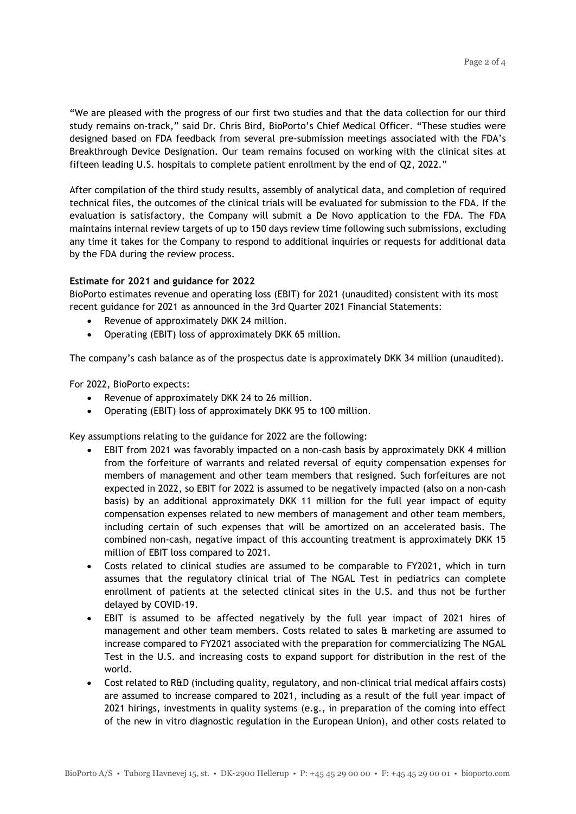"We are pleased with the progress of our first two studies and that the data collection for our third study remains on-track," said Dr. Chris Bird, BioPorto's Chief Medical Officer. "These studies were designed based on FDA feedback from several pre-submission meetings associated with the FDA's Breakthrough Device Designation. Our team remains focused on working with the clinical sites at fifteen leading U.S. hospitals to complete patient enrollment by the end of Q2, 2022."

After compilation of the third study results, assembly of analytical data, and completion of required technical files, the outcomes of the clinical trials will be evaluated for submission to the FDA. If the evaluation is satisfactory, the Company will submit a De Novo application to the FDA. The FDA maintains internal review targets of up to 150 days review time following such submissions, excluding any time it takes for the Company to respond to additional inquiries or requests for additional data by the FDA during the review process.

# **Estimate for 2021 and guidance for 2022**

BioPorto estimates revenue and operating loss (EBIT) for 2021 (unaudited) consistent with its most recent guidance for 2021 as announced in the 3rd Quarter 2021 Financial Statements:

- Revenue of approximately DKK 24 million.
- Operating (EBIT) loss of approximately DKK 65 million.

The company's cash balance as of the prospectus date is approximately DKK 34 million (unaudited).

For 2022, BioPorto expects:

- Revenue of approximately DKK 24 to 26 million.
- Operating (EBIT) loss of approximately DKK 95 to 100 million.

Key assumptions relating to the guidance for 2022 are the following:

- EBIT from 2021 was favorably impacted on a non-cash basis by approximately DKK 4 million from the forfeiture of warrants and related reversal of equity compensation expenses for members of management and other team members that resigned. Such forfeitures are not expected in 2022, so EBIT for 2022 is assumed to be negatively impacted (also on a non-cash basis) by an additional approximately DKK 11 million for the full year impact of equity compensation expenses related to new members of management and other team members, including certain of such expenses that will be amortized on an accelerated basis. The combined non-cash, negative impact of this accounting treatment is approximately DKK 15 million of EBIT loss compared to 2021.
- Costs related to clinical studies are assumed to be comparable to FY2021, which in turn assumes that the regulatory clinical trial of The NGAL Test in pediatrics can complete enrollment of patients at the selected clinical sites in the U.S. and thus not be further delayed by COVID-19.
- EBIT is assumed to be affected negatively by the full year impact of 2021 hires of management and other team members. Costs related to sales & marketing are assumed to increase compared to FY2021 associated with the preparation for commercializing The NGAL Test in the U.S. and increasing costs to expand support for distribution in the rest of the world.
- Cost related to R&D (including quality, regulatory, and non-clinical trial medical affairs costs) are assumed to increase compared to 2021, including as a result of the full year impact of 2021 hirings, investments in quality systems (e.g., in preparation of the coming into effect of the new in vitro diagnostic regulation in the European Union), and other costs related to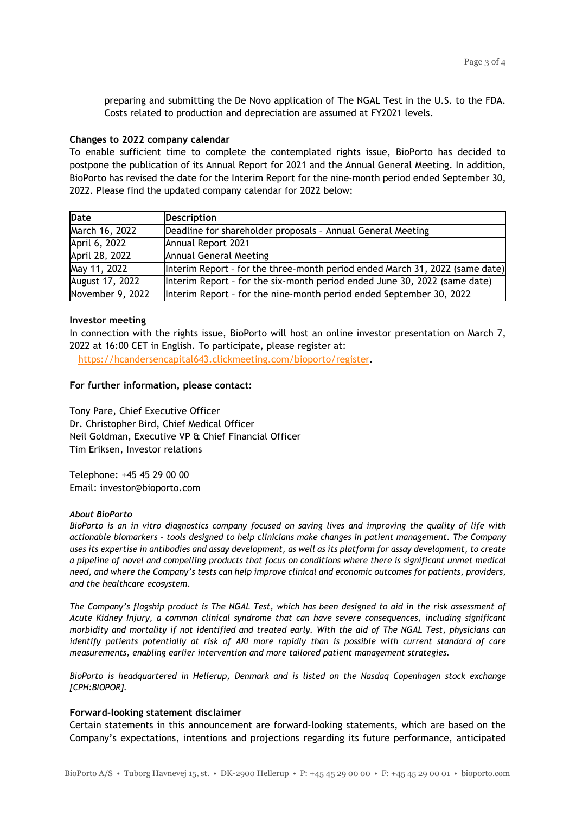preparing and submitting the De Novo application of The NGAL Test in the U.S. to the FDA. Costs related to production and depreciation are assumed at FY2021 levels.

### **Changes to 2022 company calendar**

To enable sufficient time to complete the contemplated rights issue, BioPorto has decided to postpone the publication of its Annual Report for 2021 and the Annual General Meeting. In addition, BioPorto has revised the date for the Interim Report for the nine-month period ended September 30, 2022. Please find the updated company calendar for 2022 below:

| Date             | <b>Description</b>                                                           |
|------------------|------------------------------------------------------------------------------|
| March 16, 2022   | Deadline for shareholder proposals - Annual General Meeting                  |
| April 6, 2022    | Annual Report 2021                                                           |
| April 28, 2022   | Annual General Meeting                                                       |
| May 11, 2022     | Interim Report - for the three-month period ended March 31, 2022 (same date) |
| August 17, 2022  | Interim Report - for the six-month period ended June 30, 2022 (same date)    |
| November 9, 2022 | Interim Report - for the nine-month period ended September 30, 2022          |

### **Investor meeting**

In connection with the rights issue, BioPorto will host an online investor presentation on March 7, 2022 at 16:00 CET in English. To participate, please register at:

[https://hcandersencapital643.clickmeeting.com/bioporto/register](https://eur01.safelinks.protection.outlook.com/?url=https%3A%2F%2Fhcandersencapital643.clickmeeting.com%2Fbioporto%2Fregister&data=04%7C01%7Cks%40bioporto.com%7Cbc9ee849751a4cc8d21308da001bfb47%7C095d1d5eb878495f8ffe19b35f5dc11a%7C0%7C0%7C637822417441709854%7CUnknown%7CTWFpbGZsb3d8eyJWIjoiMC4wLjAwMDAiLCJQIjoiV2luMzIiLCJBTiI6Ik1haWwiLCJXVCI6Mn0%3D%7C3000&sdata=O4M1xjvmo7UZCyB%2FEcyMom%2Bnxl9NknnPh%2BcSaPXoQt0%3D&reserved=0).

## **For further information, please contact:**

Tony Pare, Chief Executive Officer Dr. Christopher Bird, Chief Medical Officer Neil Goldman, Executive VP & Chief Financial Officer Tim Eriksen, Investor relations

Telephone: +45 45 29 00 00 Email: investor@bioporto.com

#### *About BioPorto*

*BioPorto is an in vitro diagnostics company focused on saving lives and improving the quality of life with actionable biomarkers – tools designed to help clinicians make changes in patient management. The Company uses its expertise in antibodies and assay development, as well as its platform for assay development, to create a pipeline of novel and compelling products that focus on conditions where there is significant unmet medical need, and where the Company's tests can help improve clinical and economic outcomes for patients, providers, and the healthcare ecosystem.*

*The Company's flagship product is The NGAL Test, which has been designed to aid in the risk assessment of Acute Kidney Injury, a common clinical syndrome that can have severe consequences, including significant morbidity and mortality if not identified and treated early. With the aid of The NGAL Test, physicians can identify patients potentially at risk of AKI more rapidly than is possible with current standard of care measurements, enabling earlier intervention and more tailored patient management strategies.*

*BioPorto is headquartered in Hellerup, Denmark and is listed on the Nasdaq Copenhagen stock exchange [CPH:BIOPOR].*

#### **Forward-looking statement disclaimer**

Certain statements in this announcement are forward-looking statements, which are based on the Company's expectations, intentions and projections regarding its future performance, anticipated